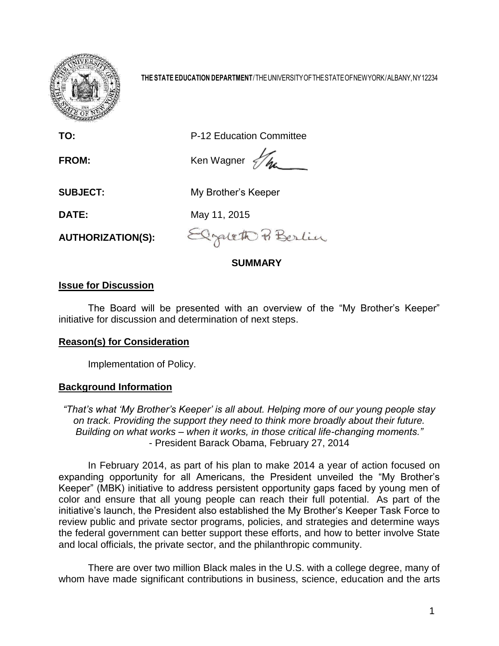

**THE STATE EDUCATION DEPARTMENT**/THEUNIVERSITYOFTHESTATEOFNEWYORK/ALBANY,NY12234

**TO:** P-12 Education Committee

**FROM:** Ken Wagner  $\frac{1}{2}\pi$ 

**SUBJECT:** My Brother's Keeper

**DATE:** May 11, 2015

**AUTHORIZATION(S):**

Elzaleth P. Berlin

# **SUMMARY**

# **Issue for Discussion**

The Board will be presented with an overview of the "My Brother's Keeper" initiative for discussion and determination of next steps.

# **Reason(s) for Consideration**

Implementation of Policy.

# **Background Information**

*"That's what 'My Brother's Keeper' is all about. Helping more of our young people stay on track. Providing the support they need to think more broadly about their future. Building on what works – when it works, in those critical life-changing moments."* - President Barack Obama, February 27, 2014

In February 2014, as part of his plan to make 2014 a year of action focused on expanding opportunity for all Americans, the President unveiled the "My Brother's Keeper" (MBK) initiative to address persistent opportunity gaps faced by young men of color and ensure that all young people can reach their full potential. As part of the initiative's launch, the President also established the My Brother's Keeper Task Force to review public and private sector programs, policies, and strategies and determine ways the federal government can better support these efforts, and how to better involve State and local officials, the private sector, and the philanthropic community.

There are over two million Black males in the U.S. with a college degree, many of whom have made significant contributions in business, science, education and the arts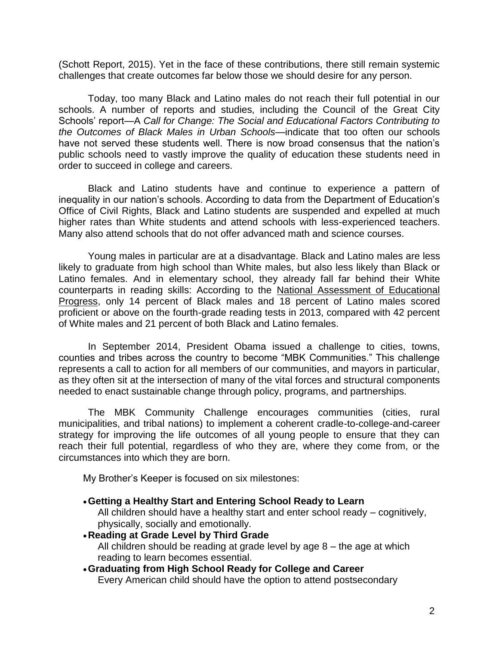(Schott Report, 2015). Yet in the face of these contributions, there still remain systemic challenges that create outcomes far below those we should desire for any person.

Today, too many Black and Latino males do not reach their full potential in our schools. A number of reports and studies, including the Council of the Great City Schools' report—A *Call for Change: The Social and Educational Factors Contributing to the Outcomes of Black Males in Urban Schools*—indicate that too often our schools have not served these students well. There is now broad consensus that the nation's public schools need to vastly improve the quality of education these students need in order to succeed in college and careers.

Black and Latino students have and continue to experience a pattern of inequality in our nation's schools. According to data from the Department of Education's Office of Civil Rights, Black and Latino students are suspended and expelled at much higher rates than White students and attend schools with less-experienced teachers. Many also attend schools that do not offer advanced math and science courses.

Young males in particular are at a disadvantage. Black and Latino males are less likely to graduate from high school than White males, but also less likely than Black or Latino females. And in elementary school, they already fall far behind their White counterparts in reading skills: According to the [National Assessment of Educational](http://topics.nytimes.com/top/reference/timestopics/subjects/n/national_assessment_of_educational_progress/index.html?inline=nyt-classifier)  [Progress,](http://topics.nytimes.com/top/reference/timestopics/subjects/n/national_assessment_of_educational_progress/index.html?inline=nyt-classifier) only 14 percent of Black males and 18 percent of Latino males scored proficient or above on the fourth-grade reading tests in 2013, compared with 42 percent of White males and 21 percent of both Black and Latino females.

In September 2014, President Obama issued a challenge to cities, towns, counties and tribes across the country to become "MBK Communities." This challenge represents a call to action for all members of our communities, and mayors in particular, as they often sit at the intersection of many of the vital forces and structural components needed to enact sustainable change through policy, programs, and partnerships.

The MBK Community Challenge encourages communities (cities, rural municipalities, and tribal nations) to implement a coherent cradle-to-college-and-career strategy for improving the life outcomes of all young people to ensure that they can reach their full potential, regardless of who they are, where they come from, or the circumstances into which they are born.

My Brother's Keeper is focused on six milestones:

- **Getting a Healthy Start and Entering School Ready to Learn** All children should have a healthy start and enter school ready – cognitively, physically, socially and emotionally.
- **Reading at Grade Level by Third Grade** All children should be reading at grade level by age 8 – the age at which reading to learn becomes essential.
- **Graduating from High School Ready for College and Career** Every American child should have the option to attend postsecondary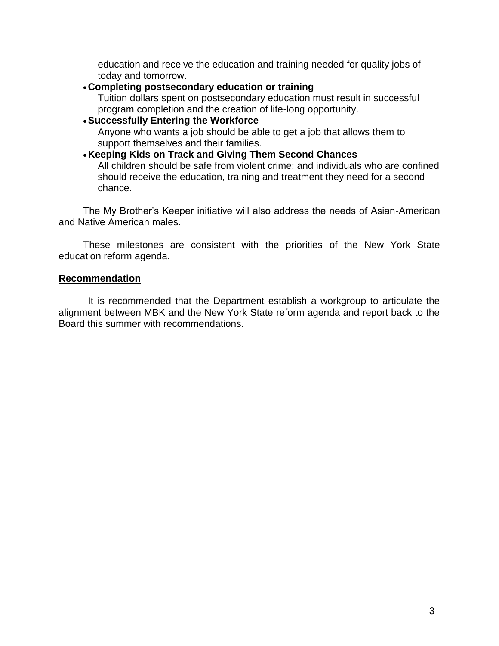education and receive the education and training needed for quality jobs of today and tomorrow.

#### **Completing postsecondary education or training**

Tuition dollars spent on postsecondary education must result in successful program completion and the creation of life-long opportunity.

### **Successfully Entering the Workforce**

Anyone who wants a job should be able to get a job that allows them to support themselves and their families.

# **Keeping Kids on Track and Giving Them Second Chances**

All children should be safe from violent crime; and individuals who are confined should receive the education, training and treatment they need for a second chance.

The My Brother's Keeper initiative will also address the needs of Asian-American and Native American males.

These milestones are consistent with the priorities of the New York State education reform agenda.

#### **Recommendation**

It is recommended that the Department establish a workgroup to articulate the alignment between MBK and the New York State reform agenda and report back to the Board this summer with recommendations.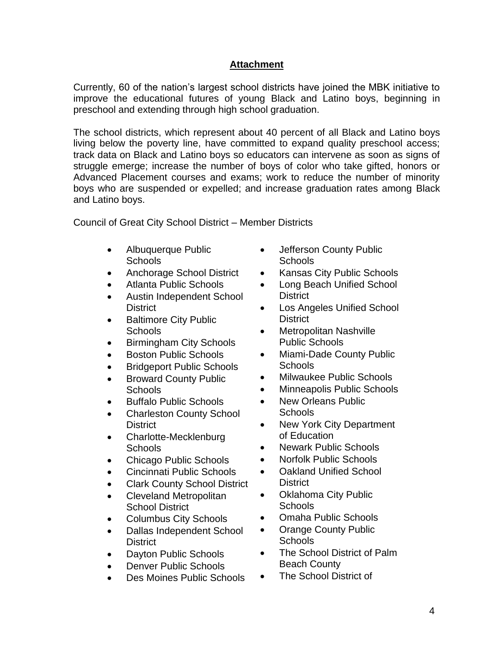# **Attachment**

Currently, 60 of the nation's largest school districts have joined the MBK initiative to improve the educational futures of young Black and Latino boys, beginning in preschool and extending through high school graduation.

The school districts, which represent about 40 percent of all Black and Latino boys living below the poverty line, have committed to expand quality preschool access; track data on Black and Latino boys so educators can intervene as soon as signs of struggle emerge; increase the number of boys of color who take gifted, honors or Advanced Placement courses and exams; work to reduce the number of minority boys who are suspended or expelled; and increase graduation rates among Black and Latino boys.

Council of Great City School District – Member Districts

- Albuquerque Public [Schools](http://ww2.aps.edu/)
- [Anchorage School District](http://www.asdk12.org/)
- [Atlanta Public Schools](http://www.atlanta.k12.ga.us/)
- [Austin Independent School](http://www.austinisd.org/)  [District](http://www.austinisd.org/)
- Baltimore City Public **[Schools](http://www.bcps.k12.md.us/)**
- [Birmingham City Schools](http://www.bhamcityschools.org/)
- [Boston Public Schools](http://bostonpublicschools.org/)
- [Bridgeport Public Schools](http://www.bridgeportedu.com/)
- Broward County Public **[Schools](http://browardschools.com/)**
- Buffalo [Public Schools](http://www.buffaloschools.org/)
- Charleston County School **[District](http://www.ccsdschools.com/)**
- Charlotte-Mecklenburg [Schools](http://www.cms.k12.nc.us/)
- [Chicago Public Schools](http://www.cps.edu/Pages/home.aspx)
- [Cincinnati Public Schools](http://www.cps-k12.org/)
- [Clark County School District](http://www.ccsd.net/)
- [Cleveland Metropolitan](http://www.clevelandmetroschools.org/)  [School District](http://www.clevelandmetroschools.org/)
- [Columbus City Schools](http://www.columbus.k12.oh.us/)
- Dallas Independent School **[District](http://www.dallasisd.org/)**
- [Dayton Public Schools](http://www.dps.k12.oh.us/)
- [Denver Public Schools](http://www.denver.k12.co.us/)
- [Des Moines Public Schools](http://www.dmschools.org/)
- Jefferson County Public [Schools](http://www.jefferson.k12.ky.us/)
- [Kansas City Public Schools](http://www.kcmsd.net/)
- Long Beach Unified School **[District](http://www.lbusd.k12.ca.us/)**
- [Los Angeles Unified School](http://www.lausd.k12.ca.us/)  **[District](http://www.lausd.k12.ca.us/)**
- [Metropolitan Nashville](http://www.mnps.org/)  [Public Schools](http://www.mnps.org/)
- Miami-Dade County Public [Schools](http://www.dadeschools.net/)
- [Milwaukee Public Schools](http://mpsportal.milwaukee.k12.wi.us/)
- [Minneapolis Public Schools](http://www.mpls.k12.mn.us/)
- New Orleans Public **[Schools](http://nops.k12.la.us/)**
- New York City Department [of Education](http://www.nycenet.edu/)
- [Newark Public Schools](http://www.nps.k12.nj.us/)
- [Norfolk Public Schools](http://www.nps.k12.va.us/)
- [Oakland Unified School](http://www.ousd.k12.ca.us/)  [District](http://www.ousd.k12.ca.us/)
- [Oklahoma City Public](http://www.okcps.org/)  **[Schools](http://www.okcps.org/)**
- [Omaha Public Schools](http://www.ops.org/district)
- [Orange County Public](http://www.ocps.k12.fl.us/)  **[Schools](http://www.ocps.k12.fl.us/)**
- The School District of Palm [Beach County](http://www.palmbeachschools.org/)
- The School District of